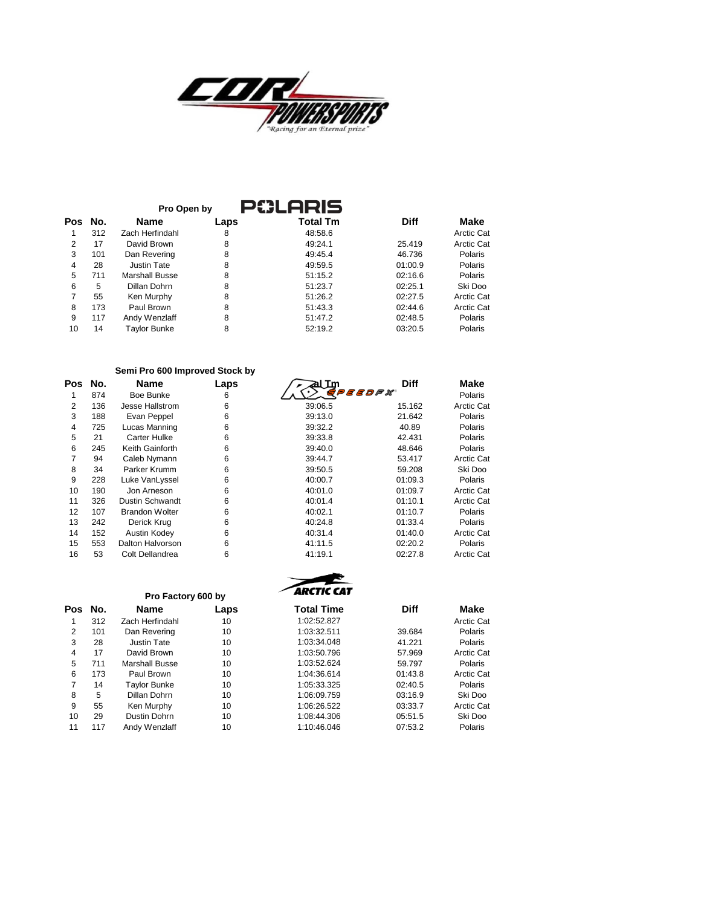

|     |     | Pro Open by         |      | <b>ARIS</b>     |             |            |
|-----|-----|---------------------|------|-----------------|-------------|------------|
| Pos | No. | <b>Name</b>         | Laps | <b>Total Tm</b> | <b>Diff</b> | Make       |
|     | 312 | Zach Herfindahl     | 8    | 48:58.6         |             | Arctic Cat |
| 2   | 17  | David Brown         | 8    | 49:24.1         | 25.419      | Arctic Cat |
| 3   | 101 | Dan Revering        | 8    | 49:45.4         | 46.736      | Polaris    |
| 4   | 28  | <b>Justin Tate</b>  | 8    | 49:59.5         | 01:00.9     | Polaris    |
| 5   | 711 | Marshall Busse      | 8    | 51:15.2         | 02:16.6     | Polaris    |
| 6   | 5   | Dillan Dohrn        | 8    | 51:23.7         | 02:25.1     | Ski Doo    |
|     | 55  | Ken Murphy          | 8    | 51:26.2         | 02:27.5     | Arctic Cat |
| 8   | 173 | Paul Brown          | 8    | 51:43.3         | 02:44.6     | Arctic Cat |
| 9   | 117 | Andy Wenzlaff       | 8    | 51:47.2         | 02:48.5     | Polaris    |
| 10  | 14  | <b>Tavlor Bunke</b> | 8    | 52:19.2         | 03:20.5     | Polaris    |

## **Semi Pro 600 Improved Stock by**

| Pos | No. | Name                   | Laps |
|-----|-----|------------------------|------|
| 1   | 874 | Boe Bunke              | 6    |
| 2   | 136 | Jesse Hallstrom        | 6    |
| 3   | 188 | Evan Peppel            | 6    |
| 4   | 725 | Lucas Manning          | 6    |
| 5   | 21  | Carter Hulke           | 6    |
| 6   | 245 | Keith Gainforth        | 6    |
| 7   | 94  | Caleb Nymann           | 6    |
| 8   | 34  | Parker Krumm           | 6    |
| 9   | 228 | Luke VanLyssel         | 6    |
| 10  | 190 | Jon Arneson            | 6    |
| 11  | 326 | <b>Dustin Schwandt</b> | 6    |
| 12  | 107 | <b>Brandon Wolter</b>  | 6    |
| 13  | 242 | Derick Krug            | 6    |
| 14  | 152 | Austin Kodey           | 6    |
| 15  | 553 | Dalton Halvorson       | 6    |
| 16  | 53  | Colt Dellandrea        | ี    |

| οs             | No. | <b>Name</b>            | Laps | al Im   | <b>Diff</b> | Make       |
|----------------|-----|------------------------|------|---------|-------------|------------|
| 1              | 874 | Boe Bunke              | 6    |         | BBDPX       | Polaris    |
| 2              | 136 | Jesse Hallstrom        | 6    | 39:06.5 | 15.162      | Arctic Cat |
| 3              | 188 | Evan Peppel            | 6    | 39:13.0 | 21.642      | Polaris    |
| 4              | 725 | Lucas Manning          | 6    | 39:32.2 | 40.89       | Polaris    |
| 5              | 21  | Carter Hulke           | 6    | 39:33.8 | 42.431      | Polaris    |
| 6              | 245 | Keith Gainforth        | 6    | 39:40.0 | 48.646      | Polaris    |
| $\overline{7}$ | 94  | Caleb Nymann           | 6    | 39:44.7 | 53.417      | Arctic Cat |
| 8              | 34  | Parker Krumm           | 6    | 39:50.5 | 59.208      | Ski Doo    |
| 9              | 228 | Luke VanLyssel         | 6    | 40:00.7 | 01:09.3     | Polaris    |
| 10             | 190 | Jon Arneson            | 6    | 40:01.0 | 01:09.7     | Arctic Cat |
| 11             | 326 | <b>Dustin Schwandt</b> | 6    | 40:01.4 | 01:10.1     | Arctic Cat |
| 12             | 107 | <b>Brandon Wolter</b>  | 6    | 40:02.1 | 01:10.7     | Polaris    |
| 13             | 242 | Derick Krug            | 6    | 40:24.8 | 01:33.4     | Polaris    |
| 14             | 152 | Austin Kodey           | 6    | 40:31.4 | 01:40.0     | Arctic Cat |
| 15             | 553 | Dalton Halvorson       | 6    | 41:11.5 | 02:20.2     | Polaris    |
| 16             | 53  | Colt Dellandrea        | 6    | 41:19.1 | 02:27.8     | Arctic Cat |



|                |     | Pro Factory 600 by  |      | ╭<br>AKLIIL LAI   |             |            |
|----------------|-----|---------------------|------|-------------------|-------------|------------|
| <b>Pos</b>     | No. | Name                | Laps | <b>Total Time</b> | <b>Diff</b> | Make       |
|                | 312 | Zach Herfindahl     | 10   | 1:02:52.827       |             | Arctic Cat |
| $\overline{2}$ | 101 | Dan Revering        | 10   | 1:03:32.511       | 39.684      | Polaris    |
| 3              | 28  | Justin Tate         | 10   | 1:03:34.048       | 41.221      | Polaris    |
| 4              | 17  | David Brown         | 10   | 1:03:50.796       | 57.969      | Arctic Cat |
| 5              | 711 | Marshall Busse      | 10   | 1:03:52.624       | 59.797      | Polaris    |
| 6              | 173 | Paul Brown          | 10   | 1:04:36.614       | 01:43.8     | Arctic Cat |
| 7              | 14  | <b>Taylor Bunke</b> | 10   | 1:05:33.325       | 02:40.5     | Polaris    |
| 8              | 5   | Dillan Dohrn        | 10   | 1:06:09.759       | 03:16.9     | Ski Doo    |
| 9              | 55  | Ken Murphy          | 10   | 1:06:26.522       | 03:33.7     | Arctic Cat |
| 10             | 29  | Dustin Dohrn        | 10   | 1:08:44.306       | 05:51.5     | Ski Doo    |
| 11             | 117 | Andy Wenzlaff       | 10   | 1:10:46.046       | 07:53.2     | Polaris    |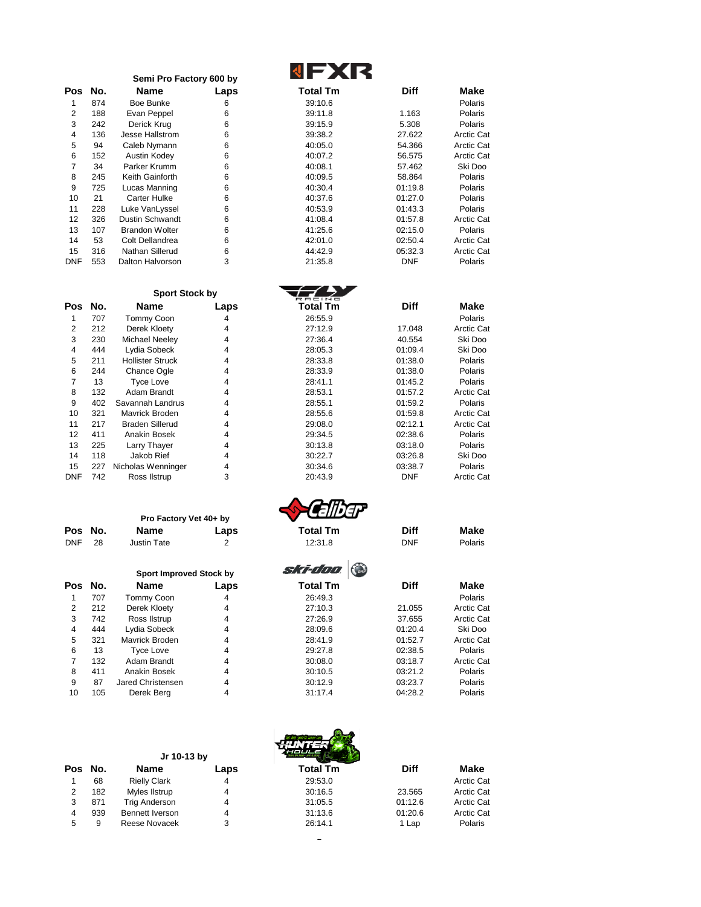|            |     | Semi Pro Factory 600 by |      |                 |             |             |
|------------|-----|-------------------------|------|-----------------|-------------|-------------|
| Pos        | No. | Name                    | Laps | <b>Total Tm</b> | <b>Diff</b> | <b>Make</b> |
|            | 874 | Boe Bunke               | 6    | 39:10.6         |             | Polaris     |
| 2          | 188 | Evan Peppel             | 6    | 39:11.8         | 1.163       | Polaris     |
| 3          | 242 | Derick Krug             | 6    | 39:15.9         | 5.308       | Polaris     |
| 4          | 136 | Jesse Hallstrom         | 6    | 39:38.2         | 27.622      | Arctic Ca   |
| 5          | 94  | Caleb Nymann            | 6    | 40:05.0         | 54.366      | Arctic Ca   |
| 6          | 152 | Austin Kodey            | 6    | 40:07.2         | 56.575      | Arctic Ca   |
| 7          | 34  | Parker Krumm            | 6    | 40:08.1         | 57.462      | Ski Doc     |
| 8          | 245 | Keith Gainforth         | 6    | 40:09.5         | 58.864      | Polaris     |
| 9          | 725 | Lucas Manning           | 6    | 40:30.4         | 01:19.8     | Polaris     |
| 10         | 21  | <b>Carter Hulke</b>     | 6    | 40:37.6         | 01:27.0     | Polaris     |
| 11         | 228 | Luke VanLyssel          | 6    | 40:53.9         | 01:43.3     | Polaris     |
| 12         | 326 | <b>Dustin Schwandt</b>  | 6    | 41:08.4         | 01:57.8     | Arctic Ca   |
| 13         | 107 | <b>Brandon Wolter</b>   | 6    | 41:25.6         | 02:15.0     | Polaris     |
| 14         | 53  | Colt Dellandrea         | 6    | 42:01.0         | 02:50.4     | Arctic Ca   |
| 15         | 316 | Nathan Sillerud         | 6    | 44:42.9         | 05:32.3     | Arctic Ca   |
| <b>DNF</b> | 553 | Dalton Halvorson        | 3    | 21:35.8         | <b>DNF</b>  | Polaris     |

| <b>Total Tm</b> |  |
|-----------------|--|
| 39:10.6         |  |
| 39:11.8         |  |

 $\overline{f}$ 

| 188 | Evan Peppel            |   | 39:11.8 | 1.163      | Polaris           |
|-----|------------------------|---|---------|------------|-------------------|
| 242 | Derick Krug            | 6 | 39:15.9 | 5.308      | <b>Polaris</b>    |
| 136 | Jesse Hallstrom        | 6 | 39:38.2 | 27.622     | <b>Arctic Cat</b> |
| 94  | Caleb Nymann           | 6 | 40:05.0 | 54.366     | <b>Arctic Cat</b> |
| 152 | Austin Kodev           | 6 | 40:07.2 | 56.575     | <b>Arctic Cat</b> |
| 34  | Parker Krumm           | 6 | 40:08.1 | 57.462     | Ski Doo           |
| 245 | Keith Gainforth        | 6 | 40:09.5 | 58.864     | Polaris           |
| 725 | Lucas Manning          | 6 | 40:30.4 | 01:19.8    | Polaris           |
| 21  | <b>Carter Hulke</b>    | 6 | 40:37.6 | 01:27.0    | Polaris           |
| 228 | Luke VanLyssel         | 6 | 40:53.9 | 01:43.3    | <b>Polaris</b>    |
| 326 | <b>Dustin Schwandt</b> | 6 | 41:08.4 | 01:57.8    | <b>Arctic Cat</b> |
| 107 | <b>Brandon Wolter</b>  | 6 | 41:25.6 | 02:15.0    | <b>Polaris</b>    |
| 53  | Colt Dellandrea        | 6 | 42:01.0 | 02:50.4    | <b>Arctic Cat</b> |
| 316 | Nathan Sillerud        | 6 | 44:42.9 | 05:32.3    | <b>Arctic Cat</b> |
| 553 | Dalton Halvorson       | 3 | 21:35.8 | <b>DNF</b> | Polaris           |
|     |                        |   | 6       |            |                   |

|            |     | <b>Sport Stock by</b>   |      |                 |             |                   |
|------------|-----|-------------------------|------|-----------------|-------------|-------------------|
| Pos        | No. | <b>Name</b>             | Laps | <b>Total Tm</b> | <b>Diff</b> | Make              |
| 1          | 707 | <b>Tommy Coon</b>       | 4    | 26:55.9         |             | Polaris           |
| 2          | 212 | Derek Kloety            | 4    | 27:12.9         | 17.048      | <b>Arctic Cat</b> |
| 3          | 230 | Michael Neeley          | 4    | 27:36.4         | 40.554      | Ski Doo           |
| 4          | 444 | Lydia Sobeck            | 4    | 28:05.3         | 01:09.4     | Ski Doo           |
| 5          | 211 | <b>Hollister Struck</b> | 4    | 28:33.8         | 01:38.0     | Polaris           |
| 6          | 244 | <b>Chance Ogle</b>      | 4    | 28:33.9         | 01:38.0     | Polaris           |
|            | 13  | <b>Tyce Love</b>        | 4    | 28:41.1         | 01:45.2     | <b>Polaris</b>    |
| 8          | 132 | Adam Brandt             | 4    | 28:53.1         | 01:57.2     | <b>Arctic Cat</b> |
| 9          | 402 | Savannah Landrus        | 4    | 28:55.1         | 01:59.2     | <b>Polaris</b>    |
| 10         | 321 | Mavrick Broden          | 4    | 28:55.6         | 01:59.8     | <b>Arctic Cat</b> |
| 11         | 217 | <b>Braden Sillerud</b>  | 4    | 29:08.0         | 02:12.1     | <b>Arctic Cat</b> |
| 12         | 411 | Anakin Bosek            | 4    | 29:34.5         | 02:38.6     | <b>Polaris</b>    |
| 13         | 225 | Larry Thayer            | 4    | 30:13.8         | 03:18.0     | <b>Polaris</b>    |
| 14         | 118 | Jakob Rief              | 4    | 30:22.7         | 03:26.8     | Ski Doo           |
| 15         | 227 | Nicholas Wenninger      | 4    | 30:34.6         | 03:38.7     | <b>Polaris</b>    |
| <b>DNF</b> | 742 | Ross Ilstrup            | 3    | 20:43.9         | <b>DNF</b>  | <b>Arctic Cat</b> |
|            |     |                         |      |                 |             |                   |

|            |    | Pro Factory Vet 40+ by |      |  |  |
|------------|----|------------------------|------|--|--|
| Pos No.    |    | Name                   | Laps |  |  |
| <b>DNF</b> | 28 | <b>Justin Tate</b>     |      |  |  |

|     |     | <b>Sport Improved Stock by</b> |      |  |  |
|-----|-----|--------------------------------|------|--|--|
| Pos | No. | Name                           | Lap: |  |  |
| 1   | 707 | Tommy Coon                     |      |  |  |
| 2   | 212 | Derek Kloety                   | 4    |  |  |
| 3   | 742 | Ross Ilstrup                   | 4    |  |  |
| 4   | 444 | Lydia Sobeck                   | 4    |  |  |
| 5   | 321 | Mavrick Broden                 | 4    |  |  |
| 6   | 13  | <b>Tyce Love</b>               | 4    |  |  |
| 7   | 132 | Adam Brandt                    | 4    |  |  |
| 8   | 411 | Anakin Bosek                   | 4    |  |  |
| 9   | 87  | <b>Jared Christensen</b>       | 4    |  |  |
| 10  | 105 | Derek Bera                     | 4    |  |  |

**Jr 10-13 by** 

| 4              | 444 | Lydia Sobeck                   | 4              | 28:05.3         | 01:09.4     | Ski Doo           |
|----------------|-----|--------------------------------|----------------|-----------------|-------------|-------------------|
| 5              | 211 | <b>Hollister Struck</b>        | 4              | 28:33.8         | 01:38.0     | Polaris           |
| 6              | 244 | Chance Ogle                    | 4              | 28:33.9         | 01:38.0     | Polaris           |
| $\overline{7}$ | 13  | <b>Tyce Love</b>               | 4              | 28:41.1         | 01:45.2     | Polaris           |
| 8              | 132 | Adam Brandt                    | 4              | 28:53.1         | 01:57.2     | <b>Arctic Cat</b> |
| 9              | 402 | Savannah Landrus               | 4              | 28:55.1         | 01:59.2     | Polaris           |
| 10             | 321 | Mavrick Broden                 | 4              | 28:55.6         | 01:59.8     | <b>Arctic Cat</b> |
| 11             | 217 | <b>Braden Sillerud</b>         | 4              | 29:08.0         | 02:12.1     | <b>Arctic Cat</b> |
| 12             | 411 | Anakin Bosek                   | 4              | 29:34.5         | 02:38.6     | Polaris           |
| 13             | 225 | Larry Thayer                   | 4              | 30:13.8         | 03:18.0     | Polaris           |
| 14             | 118 | Jakob Rief                     | 4              | 30:22.7         | 03:26.8     | Ski Doo           |
| 15             | 227 | Nicholas Wenninger             | 4              | 30:34.6         | 03:38.7     | Polaris           |
| <b>DNF</b>     | 742 | Ross Ilstrup                   | 3              | 20:43.9         | <b>DNF</b>  | <b>Arctic Cat</b> |
|                |     | Pro Factory Vet 40+ by         |                |                 |             |                   |
| Pos            | No. | Name                           | Laps           | <b>Total Tm</b> | <b>Diff</b> | Make              |
| <b>DNF</b>     | 28  | <b>Justin Tate</b>             | $\overline{2}$ | 12:31.8         | <b>DNF</b>  | Polaris           |
|                |     | <b>Sport Improved Stock by</b> |                | ski-doo         |             |                   |
| Pos            | No. | <b>Name</b>                    | Laps           | Total Tm        | <b>Diff</b> | Make              |
| 1              | 707 | Tommy Coon                     | 4              | 26:49.3         |             | Polaris           |
| 2              | 212 | Derek Kloety                   | 4              | 27:10.3         | 21.055      | <b>Arctic Cat</b> |
|                |     |                                |                |                 |             |                   |





 $\bar{\mathcal{L}}$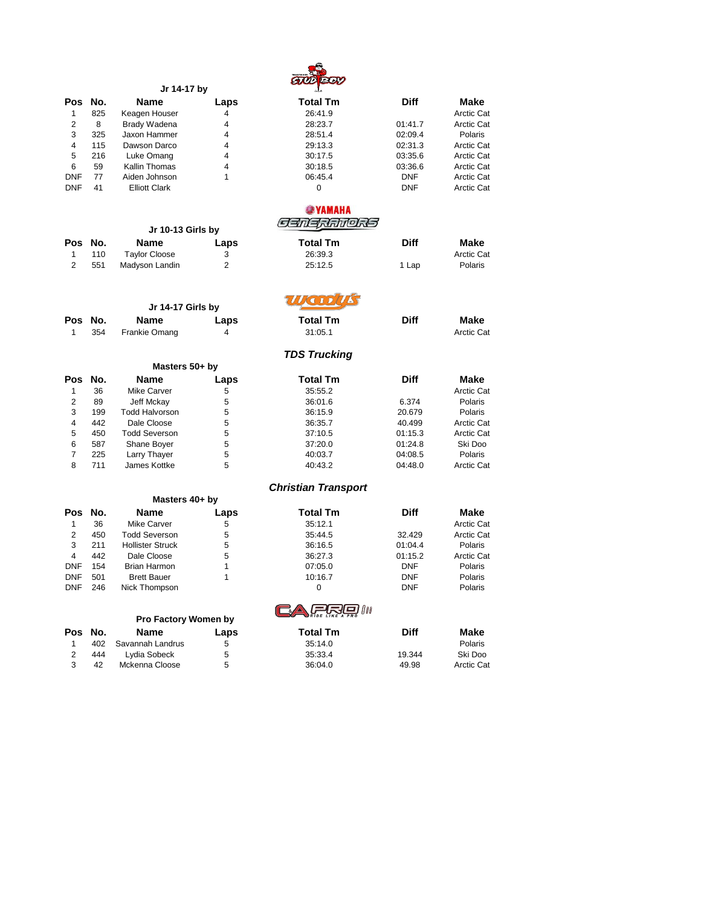

|                |     | Jr 14-17 by                 |                | $rac{1}{\sqrt{2}}$         |                    |                   |
|----------------|-----|-----------------------------|----------------|----------------------------|--------------------|-------------------|
| Pos No.        |     | <b>Name</b>                 | Laps           | <b>Total Tm</b>            | <b>Diff</b>        | Make              |
| 1              | 825 | Keagen Houser               | 4              | 26:41.9                    |                    | <b>Arctic Cat</b> |
| $\overline{2}$ | 8   | <b>Brady Wadena</b>         | 4              | 28:23.7                    | 01:41.7            | Arctic Cat        |
| 3              | 325 | Jaxon Hammer                | 4              | 28:51.4                    | 02:09.4            | Polaris           |
| 4              | 115 | Dawson Darco                | 4              | 29:13.3                    | 02:31.3            | <b>Arctic Cat</b> |
| 5              | 216 | Luke Omang                  | 4              | 30:17.5                    | 03:35.6            | <b>Arctic Cat</b> |
| 6              | 59  | Kallin Thomas               | 4              | 30:18.5                    | 03:36.6            | <b>Arctic Cat</b> |
| <b>DNF</b>     | 77  | Aiden Johnson               | 1              | 06:45.4                    | DNF                | <b>Arctic Cat</b> |
| <b>DNF</b>     | 41  | <b>Elliott Clark</b>        |                | 0                          | <b>DNF</b>         | <b>Arctic Cat</b> |
|                |     |                             |                |                            |                    |                   |
|                |     |                             |                | <b>OSYAMAHA</b>            |                    |                   |
|                |     | Jr 10-13 Girls by           |                | <i>Sanarianors</i>         |                    |                   |
| Pos            | No. | Name                        |                | <b>Total Tm</b>            | <b>Diff</b>        | Make              |
|                |     |                             | Laps           |                            |                    |                   |
| 1              | 110 | <b>Taylor Cloose</b>        | 3              | 26:39.3                    |                    | <b>Arctic Cat</b> |
| $\overline{2}$ | 551 | Madyson Landin              | $\overline{2}$ | 25:12.5                    | 1 Lap              | Polaris           |
|                |     |                             |                |                            |                    |                   |
|                |     | Jr 14-17 Girls by           |                | $H$ (a 1 ) $H$             |                    |                   |
| Pos No.        |     | <b>Name</b>                 | Laps           | <b>Total Tm</b>            | <b>Diff</b>        | Make              |
| 1              | 354 | Frankie Omang               | 4              | 31:05.1                    |                    | <b>Arctic Cat</b> |
|                |     |                             |                | <b>TDS Trucking</b>        |                    |                   |
|                |     | Masters 50+ by              |                |                            |                    |                   |
| Pos            | No. | <b>Name</b>                 | Laps           | <b>Total Tm</b>            | <b>Diff</b>        | Make              |
| 1              | 36  | <b>Mike Carver</b>          | 5              | 35:55.2                    |                    | Arctic Cat        |
| $\overline{2}$ | 89  | Jeff Mckay                  | 5              | 36:01.6                    | 6.374              | Polaris           |
| 3              | 199 | <b>Todd Halvorson</b>       | 5              | 36:15.9                    | 20.679             | Polaris           |
| $\overline{4}$ | 442 | Dale Cloose                 | 5              | 36:35.7                    | 40.499             | <b>Arctic Cat</b> |
| 5              | 450 | <b>Todd Severson</b>        | 5              | 37:10.5                    | 01:15.3            | <b>Arctic Cat</b> |
| 6              | 587 | Shane Boyer                 | 5              | 37:20.0                    | 01:24.8            | Ski Doo           |
| $\overline{7}$ | 225 | Larry Thayer                | 5              | 40:03.7                    | 04:08.5            | Polaris           |
| 8              | 711 | James Kottke                | 5              | 40:43.2                    | 04:48.0            | <b>Arctic Cat</b> |
|                |     |                             |                |                            |                    |                   |
|                |     | Masters 40+ by              |                | <b>Christian Transport</b> |                    |                   |
| Pos            | No. | <b>Name</b>                 | Laps           | <b>Total Tm</b>            | <b>Diff</b>        | Make              |
| 1              | 36  | <b>Mike Carver</b>          | 5              | 35:12.1                    |                    | Arctic Cat        |
| 2              | 450 | <b>Todd Severson</b>        | 5              |                            | 32.429             | <b>Arctic Cat</b> |
| 3              | 211 | <b>Hollister Struck</b>     | 5              | 35:44.5<br>36:16.5         |                    | Polaris           |
| $\overline{4}$ | 442 | Dale Cloose                 | 5              | 36:27.3                    | 01:04.4<br>01:15.2 | <b>Arctic Cat</b> |
| <b>DNF</b>     |     |                             | 1              |                            |                    |                   |
|                | 154 | <b>Brian Harmon</b>         | 1              | 07:05.0                    | DNF                | Polaris           |
| <b>DNF</b>     | 501 | <b>Brett Bauer</b>          |                | 10:16.7                    | DNF                | Polaris           |
| <b>DNF</b>     | 246 | Nick Thompson               |                | 0                          | DNF                | Polaris           |
|                |     |                             |                | ا ا ا                      |                    |                   |
|                |     | <b>Pro Factory Women by</b> |                |                            |                    |                   |
| Pos            | No. | <b>Name</b>                 | Laps           | <b>Total Tm</b>            | Diff               | Make              |
| 1              | 402 | Savannah Landrus            | 5              | 35:14.0                    |                    | Polaris           |
| $\overline{2}$ | 444 | Lydia Sobeck                | 5              | 35:33.4                    | 19.344             | Ski Doo           |

3 42 Mckenna Cloose 5 36:04.0 49.98 Arctic Cat